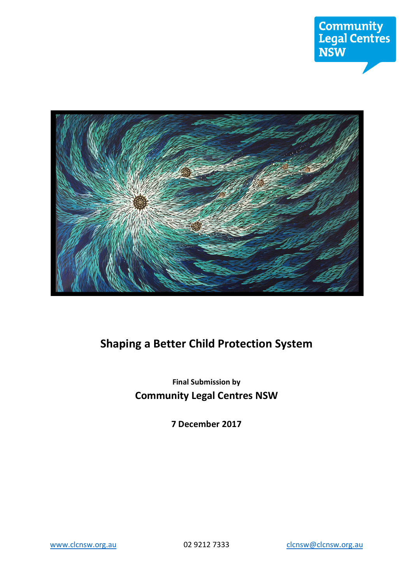

# **Shaping a Better Child Protection System**

# **Final Submission by Community Legal Centres NSW**

**7 December 2017**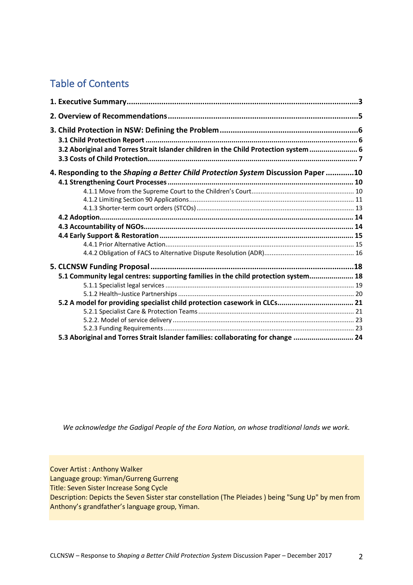# Table of Contents

| 3.2 Aboriginal and Torres Strait Islander children in the Child Protection system  6 |  |
|--------------------------------------------------------------------------------------|--|
|                                                                                      |  |
| 4. Responding to the Shaping a Better Child Protection System Discussion Paper 10    |  |
|                                                                                      |  |
|                                                                                      |  |
|                                                                                      |  |
|                                                                                      |  |
|                                                                                      |  |
|                                                                                      |  |
|                                                                                      |  |
|                                                                                      |  |
|                                                                                      |  |
|                                                                                      |  |
| 5.1 Community legal centres: supporting families in the child protection system 18   |  |
|                                                                                      |  |
|                                                                                      |  |
|                                                                                      |  |
|                                                                                      |  |
|                                                                                      |  |
|                                                                                      |  |
| 5.3 Aboriginal and Torres Strait Islander families: collaborating for change  24     |  |

*We acknowledge the Gadigal People of the Eora Nation, on whose traditional lands we work.*

Cover Artist : Anthony Walker

Language group: Yiman/Gurreng Gurreng

Title: Seven Sister Increase Song Cycle

Description: Depicts the Seven Sister star constellation (The Pleiades ) being "Sung Up" by men from Anthony's grandfather's language group, Yiman.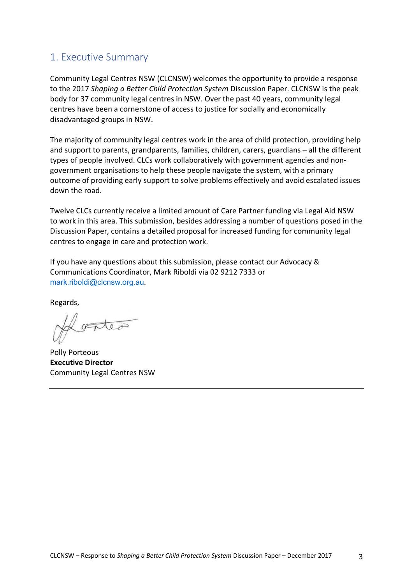## 1. Executive Summary

Community Legal Centres NSW (CLCNSW) welcomes the opportunity to provide a response to the 2017 *Shaping a Better Child Protection System* Discussion Paper. CLCNSW is the peak body for 37 community legal centres in NSW. Over the past 40 years, community legal centres have been a cornerstone of access to justice for socially and economically disadvantaged groups in NSW.

The majority of community legal centres work in the area of child protection, providing help and support to parents, grandparents, families, children, carers, guardians – all the different types of people involved. CLCs work collaboratively with government agencies and nongovernment organisations to help these people navigate the system, with a primary outcome of providing early support to solve problems effectively and avoid escalated issues down the road.

Twelve CLCs currently receive a limited amount of Care Partner funding via Legal Aid NSW to work in this area. This submission, besides addressing a number of questions posed in the Discussion Paper, contains a detailed proposal for increased funding for community legal centres to engage in care and protection work.

If you have any questions about this submission, please contact our Advocacy & Communications Coordinator, Mark Riboldi via 02 9212 7333 or mark.riboldi@clcnsw.org.au.

Regards,

ontea

Polly Porteous **Executive Director**  Community Legal Centres NSW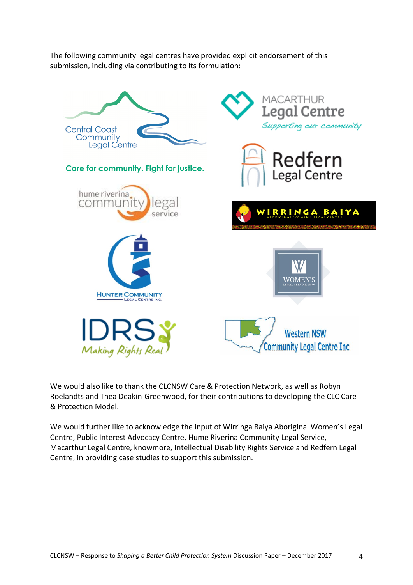The following community legal centres have provided explicit endorsement of this submission, including via contributing to its formulation:



We would also like to thank the CLCNSW Care & Protection Network, as well as Robyn Roelandts and Thea Deakin-Greenwood, for their contributions to developing the CLC Care & Protection Model.

We would further like to acknowledge the input of Wirringa Baiya Aboriginal Women's Legal Centre, Public Interest Advocacy Centre, Hume Riverina Community Legal Service, Macarthur Legal Centre, knowmore, Intellectual Disability Rights Service and Redfern Legal Centre, in providing case studies to support this submission.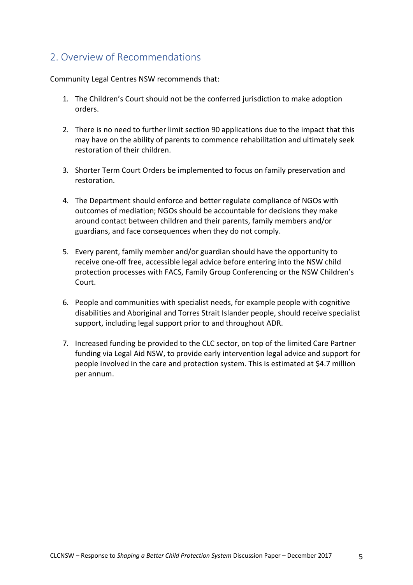## 2. Overview of Recommendations

Community Legal Centres NSW recommends that:

- 1. The Children's Court should not be the conferred jurisdiction to make adoption orders.
- 2. There is no need to further limit section 90 applications due to the impact that this may have on the ability of parents to commence rehabilitation and ultimately seek restoration of their children.
- 3. Shorter Term Court Orders be implemented to focus on family preservation and restoration.
- 4. The Department should enforce and better regulate compliance of NGOs with outcomes of mediation; NGOs should be accountable for decisions they make around contact between children and their parents, family members and/or guardians, and face consequences when they do not comply.
- 5. Every parent, family member and/or guardian should have the opportunity to receive one-off free, accessible legal advice before entering into the NSW child protection processes with FACS, Family Group Conferencing or the NSW Children's Court.
- 6. People and communities with specialist needs, for example people with cognitive disabilities and Aboriginal and Torres Strait Islander people, should receive specialist support, including legal support prior to and throughout ADR.
- 7. Increased funding be provided to the CLC sector, on top of the limited Care Partner funding via Legal Aid NSW, to provide early intervention legal advice and support for people involved in the care and protection system. This is estimated at \$4.7 million per annum.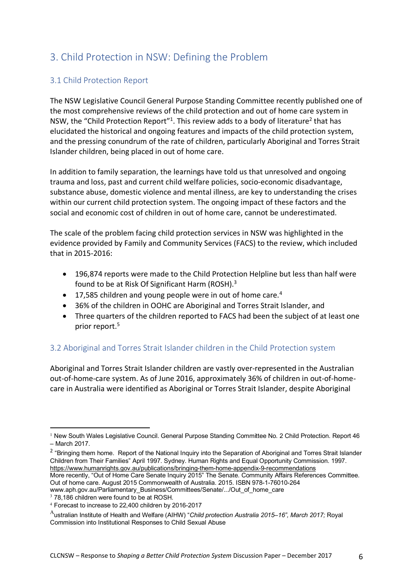# 3. Child Protection in NSW: Defining the Problem

## 3.1 Child Protection Report

The NSW Legislative Council General Purpose Standing Committee recently published one of the most comprehensive reviews of the child protection and out of home care system in NSW, the "Child Protection Report"<sup>1</sup>. This review adds to a body of literature<sup>2</sup> that has elucidated the historical and ongoing features and impacts of the child protection system, and the pressing conundrum of the rate of children, particularly Aboriginal and Torres Strait Islander children, being placed in out of home care.

In addition to family separation, the learnings have told us that unresolved and ongoing trauma and loss, past and current child welfare policies, socio-economic disadvantage, substance abuse, domestic violence and mental illness, are key to understanding the crises within our current child protection system. The ongoing impact of these factors and the social and economic cost of children in out of home care, cannot be underestimated.

The scale of the problem facing child protection services in NSW was highlighted in the evidence provided by Family and Community Services (FACS) to the review, which included that in 2015-2016:

- 196,874 reports were made to the Child Protection Helpline but less than half were found to be at Risk Of Significant Harm (ROSH).3
- 17,585 children and young people were in out of home care.<sup>4</sup>
- 36% of the children in OOHC are Aboriginal and Torres Strait Islander, and
- Three quarters of the children reported to FACS had been the subject of at least one prior report.5

## 3.2 Aboriginal and Torres Strait Islander children in the Child Protection system

Aboriginal and Torres Strait Islander children are vastly over-represented in the Australian out-of-home-care system. As of June 2016, approximately 36% of children in out-of-homecare in Australia were identified as Aboriginal or Torres Strait Islander, despite Aboriginal

www.aph.gov.au/Parliamentary\_Business/Committees/Senate/.../Out\_of\_home\_care

 $\overline{a}$ 

<sup>&</sup>lt;sup>1</sup> New South Wales Legislative Council. General Purpose Standing Committee No. 2 Child Protection. Report 46 – March 2017.

<sup>&</sup>lt;sup>2</sup> "Bringing them home. Report of the National Inquiry into the Separation of Aboriginal and Torres Strait Islander Children from Their Families" April 1997. Sydney. Human Rights and Equal Opportunity Commission. 1997. https://www.humanrights.gov.au/publications/bringing-them-home-appendix-9-recommendations

More recently, "Out of Home Care Senate Inquiry 2015" The Senate. Community Affairs References Committee. Out of home care. August 2015 Commonwealth of Australia. 2015. ISBN 978-1-76010-264

<sup>&</sup>lt;sup>3</sup> 78,186 children were found to be at ROSH.

<sup>4</sup> Forecast to increase to 22,400 children by 2016-2017

<sup>A</sup>ustralian Institute of Health and Welfare (AIHW) "*Child protection Australia 2015–16", March 2017;* Royal Commission into Institutional Responses to Child Sexual Abuse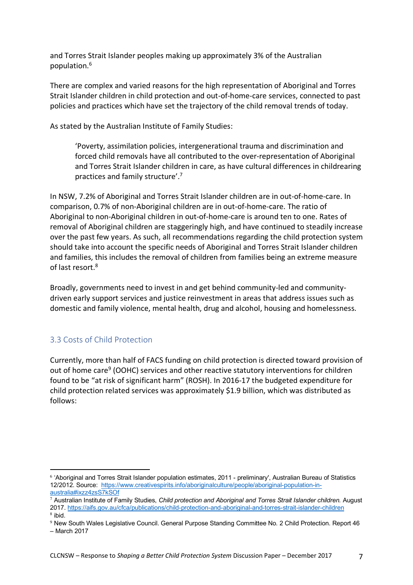and Torres Strait Islander peoples making up approximately 3% of the Australian population. 6

There are complex and varied reasons for the high representation of Aboriginal and Torres Strait Islander children in child protection and out-of-home-care services, connected to past policies and practices which have set the trajectory of the child removal trends of today.

As stated by the Australian Institute of Family Studies:

'Poverty, assimilation policies, intergenerational trauma and discrimination and forced child removals have all contributed to the over-representation of Aboriginal and Torres Strait Islander children in care, as have cultural differences in childrearing practices and family structure'.<sup>7</sup>

In NSW, 7.2% of Aboriginal and Torres Strait Islander children are in out-of-home-care. In comparison, 0.7% of non-Aboriginal children are in out-of-home-care. The ratio of Aboriginal to non-Aboriginal children in out-of-home-care is around ten to one. Rates of removal of Aboriginal children are staggeringly high, and have continued to steadily increase over the past few years. As such, all recommendations regarding the child protection system should take into account the specific needs of Aboriginal and Torres Strait Islander children and families, this includes the removal of children from families being an extreme measure of last resort.<sup>8</sup>

Broadly, governments need to invest in and get behind community-led and communitydriven early support services and justice reinvestment in areas that address issues such as domestic and family violence, mental health, drug and alcohol, housing and homelessness.

## 3.3 Costs of Child Protection

 $\overline{a}$ 

Currently, more than half of FACS funding on child protection is directed toward provision of out of home care<sup>9</sup> (OOHC) services and other reactive statutory interventions for children found to be "at risk of significant harm" (ROSH). In 2016-17 the budgeted expenditure for child protection related services was approximately \$1.9 billion, which was distributed as follows:

<sup>6</sup> 'Aboriginal and Torres Strait Islander population estimates, 2011 - preliminary', Australian Bureau of Statistics 12/2012. Source: https://www.creativespirits.info/aboriginalculture/people/aboriginal-population-inaustralia#ixzz4zsS7kSOf

<sup>7</sup> Australian Institute of Family Studies, *Child protection and Aboriginal and Torres Strait Islander children.* August 2017. https://aifs.gov.au/cfca/publications/child-protection-and-aboriginal-and-torres-strait-islander-children <sup>8</sup> ibid.

<sup>9</sup> New South Wales Legislative Council. General Purpose Standing Committee No. 2 Child Protection. Report 46 – March 2017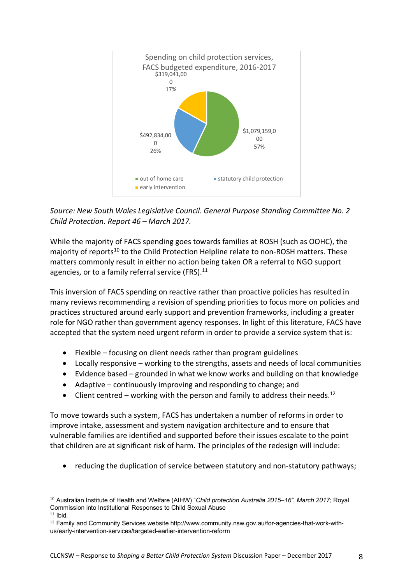

*Source: New South Wales Legislative Council. General Purpose Standing Committee No. 2 Child Protection. Report 46 – March 2017.*

While the majority of FACS spending goes towards families at ROSH (such as OOHC), the majority of reports<sup>10</sup> to the Child Protection Helpline relate to non-ROSH matters. These matters commonly result in either no action being taken OR a referral to NGO support agencies, or to a family referral service (FRS).<sup>11</sup>

This inversion of FACS spending on reactive rather than proactive policies has resulted in many reviews recommending a revision of spending priorities to focus more on policies and practices structured around early support and prevention frameworks, including a greater role for NGO rather than government agency responses. In light of this literature, FACS have accepted that the system need urgent reform in order to provide a service system that is:

- Flexible focusing on client needs rather than program guidelines
- Locally responsive working to the strengths, assets and needs of local communities
- Evidence based grounded in what we know works and building on that knowledge
- Adaptive continuously improving and responding to change; and
- Client centred working with the person and family to address their needs.<sup>12</sup>

To move towards such a system, FACS has undertaken a number of reforms in order to improve intake, assessment and system navigation architecture and to ensure that vulnerable families are identified and supported before their issues escalate to the point that children are at significant risk of harm. The principles of the redesign will include:

• reducing the duplication of service between statutory and non-statutory pathways;

 $\overline{a}$ 

<sup>10</sup> Australian Institute of Health and Welfare (AIHW) "*Child protection Australia 2015–16", March 2017;* Royal Commission into Institutional Responses to Child Sexual Abuse

 $11$  Ibid.

 $12$  Family and Community Services website http://www.community.nsw.gov.au/for-agencies-that-work-withus/early-intervention-services/targeted-earlier-intervention-reform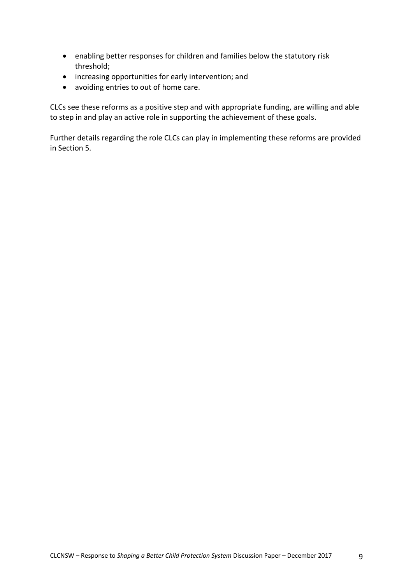- enabling better responses for children and families below the statutory risk threshold;
- increasing opportunities for early intervention; and
- avoiding entries to out of home care.

CLCs see these reforms as a positive step and with appropriate funding, are willing and able to step in and play an active role in supporting the achievement of these goals.

Further details regarding the role CLCs can play in implementing these reforms are provided in Section 5.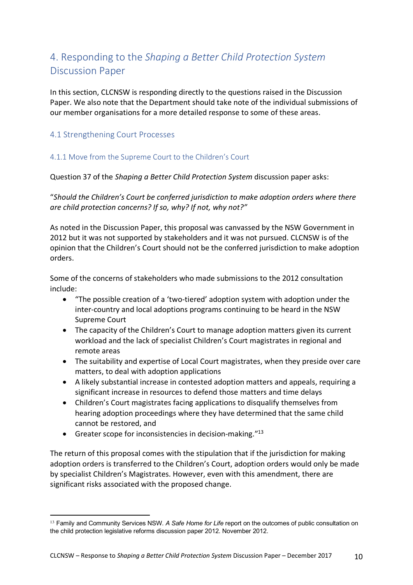# 4. Responding to the *Shaping a Better Child Protection System* Discussion Paper

In this section, CLCNSW is responding directly to the questions raised in the Discussion Paper. We also note that the Department should take note of the individual submissions of our member organisations for a more detailed response to some of these areas.

## 4.1 Strengthening Court Processes

### 4.1.1 Move from the Supreme Court to the Children's Court

Question 37 of the *Shaping a Better Child Protection System* discussion paper asks:

"*Should the Children's Court be conferred jurisdiction to make adoption orders where there are child protection concerns? If so, why? If not, why not?"*

As noted in the Discussion Paper, this proposal was canvassed by the NSW Government in 2012 but it was not supported by stakeholders and it was not pursued. CLCNSW is of the opinion that the Children's Court should not be the conferred jurisdiction to make adoption orders.

Some of the concerns of stakeholders who made submissions to the 2012 consultation include:

- "The possible creation of a 'two-tiered' adoption system with adoption under the inter-country and local adoptions programs continuing to be heard in the NSW Supreme Court
- The capacity of the Children's Court to manage adoption matters given its current workload and the lack of specialist Children's Court magistrates in regional and remote areas
- The suitability and expertise of Local Court magistrates, when they preside over care matters, to deal with adoption applications
- A likely substantial increase in contested adoption matters and appeals, requiring a significant increase in resources to defend those matters and time delays
- Children's Court magistrates facing applications to disqualify themselves from hearing adoption proceedings where they have determined that the same child cannot be restored, and
- Greater scope for inconsistencies in decision-making. $"13"$

 $\overline{a}$ 

The return of this proposal comes with the stipulation that if the jurisdiction for making adoption orders is transferred to the Children's Court, adoption orders would only be made by specialist Children's Magistrates. However, even with this amendment, there are significant risks associated with the proposed change.

<sup>13</sup> Family and Community Services NSW. *A Safe Home for Life* report on the outcomes of public consultation on the child protection legislative reforms discussion paper 2012. November 2012.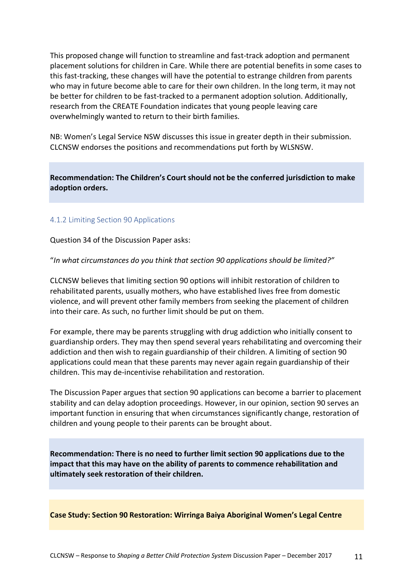This proposed change will function to streamline and fast-track adoption and permanent placement solutions for children in Care. While there are potential benefits in some cases to this fast-tracking, these changes will have the potential to estrange children from parents who may in future become able to care for their own children. In the long term, it may not be better for children to be fast-tracked to a permanent adoption solution. Additionally, research from the CREATE Foundation indicates that young people leaving care overwhelmingly wanted to return to their birth families.

NB: Women's Legal Service NSW discusses this issue in greater depth in their submission. CLCNSW endorses the positions and recommendations put forth by WLSNSW.

**Recommendation: The Children's Court should not be the conferred jurisdiction to make adoption orders.**

### 4.1.2 Limiting Section 90 Applications

Question 34 of the Discussion Paper asks:

"*In what circumstances do you think that section 90 applications should be limited?"*

CLCNSW believes that limiting section 90 options will inhibit restoration of children to rehabilitated parents, usually mothers, who have established lives free from domestic violence, and will prevent other family members from seeking the placement of children into their care. As such, no further limit should be put on them.

For example, there may be parents struggling with drug addiction who initially consent to guardianship orders. They may then spend several years rehabilitating and overcoming their addiction and then wish to regain guardianship of their children. A limiting of section 90 applications could mean that these parents may never again regain guardianship of their children. This may de-incentivise rehabilitation and restoration.

The Discussion Paper argues that section 90 applications can become a barrier to placement stability and can delay adoption proceedings. However, in our opinion, section 90 serves an important function in ensuring that when circumstances significantly change, restoration of children and young people to their parents can be brought about.

**Recommendation: There is no need to further limit section 90 applications due to the impact that this may have on the ability of parents to commence rehabilitation and ultimately seek restoration of their children.**

**Case Study: Section 90 Restoration: Wirringa Baiya Aboriginal Women's Legal Centre**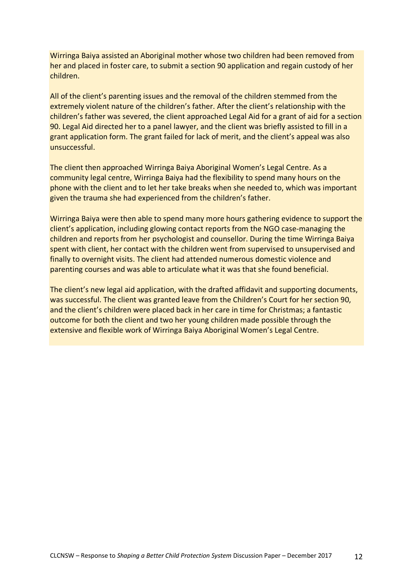Wirringa Baiya assisted an Aboriginal mother whose two children had been removed from her and placed in foster care, to submit a section 90 application and regain custody of her children.

All of the client's parenting issues and the removal of the children stemmed from the extremely violent nature of the children's father. After the client's relationship with the children's father was severed, the client approached Legal Aid for a grant of aid for a section 90. Legal Aid directed her to a panel lawyer, and the client was briefly assisted to fill in a grant application form. The grant failed for lack of merit, and the client's appeal was also unsuccessful.

The client then approached Wirringa Baiya Aboriginal Women's Legal Centre. As a community legal centre, Wirringa Baiya had the flexibility to spend many hours on the phone with the client and to let her take breaks when she needed to, which was important given the trauma she had experienced from the children's father.

Wirringa Baiya were then able to spend many more hours gathering evidence to support the client's application, including glowing contact reports from the NGO case-managing the children and reports from her psychologist and counsellor. During the time Wirringa Baiya spent with client, her contact with the children went from supervised to unsupervised and finally to overnight visits. The client had attended numerous domestic violence and parenting courses and was able to articulate what it was that she found beneficial.

The client's new legal aid application, with the drafted affidavit and supporting documents, was successful. The client was granted leave from the Children's Court for her section 90, and the client's children were placed back in her care in time for Christmas; a fantastic outcome for both the client and two her young children made possible through the extensive and flexible work of Wirringa Baiya Aboriginal Women's Legal Centre.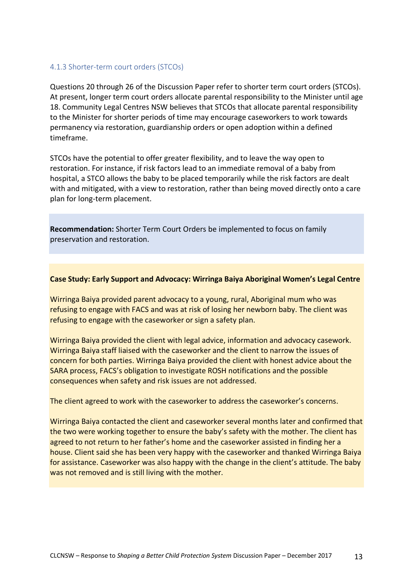### 4.1.3 Shorter-term court orders (STCOs)

Questions 20 through 26 of the Discussion Paper refer to shorter term court orders (STCOs). At present, longer term court orders allocate parental responsibility to the Minister until age 18. Community Legal Centres NSW believes that STCOs that allocate parental responsibility to the Minister for shorter periods of time may encourage caseworkers to work towards permanency via restoration, guardianship orders or open adoption within a defined timeframe.

STCOs have the potential to offer greater flexibility, and to leave the way open to restoration. For instance, if risk factors lead to an immediate removal of a baby from hospital, a STCO allows the baby to be placed temporarily while the risk factors are dealt with and mitigated, with a view to restoration, rather than being moved directly onto a care plan for long-term placement.

**Recommendation:** Shorter Term Court Orders be implemented to focus on family preservation and restoration.

### **Case Study: Early Support and Advocacy: Wirringa Baiya Aboriginal Women's Legal Centre**

Wirringa Baiya provided parent advocacy to a young, rural, Aboriginal mum who was refusing to engage with FACS and was at risk of losing her newborn baby. The client was refusing to engage with the caseworker or sign a safety plan.

Wirringa Baiya provided the client with legal advice, information and advocacy casework. Wirringa Baiya staff liaised with the caseworker and the client to narrow the issues of concern for both parties. Wirringa Baiya provided the client with honest advice about the SARA process, FACS's obligation to investigate ROSH notifications and the possible consequences when safety and risk issues are not addressed.

The client agreed to work with the caseworker to address the caseworker's concerns.

Wirringa Baiya contacted the client and caseworker several months later and confirmed that the two were working together to ensure the baby's safety with the mother. The client has agreed to not return to her father's home and the caseworker assisted in finding her a house. Client said she has been very happy with the caseworker and thanked Wirringa Baiya for assistance. Caseworker was also happy with the change in the client's attitude. The baby was not removed and is still living with the mother.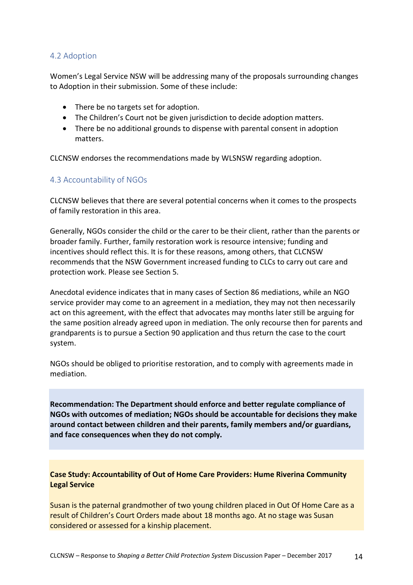### 4.2 Adoption

Women's Legal Service NSW will be addressing many of the proposals surrounding changes to Adoption in their submission. Some of these include:

- There be no targets set for adoption.
- The Children's Court not be given jurisdiction to decide adoption matters.
- There be no additional grounds to dispense with parental consent in adoption matters.

CLCNSW endorses the recommendations made by WLSNSW regarding adoption.

## 4.3 Accountability of NGOs

CLCNSW believes that there are several potential concerns when it comes to the prospects of family restoration in this area.

Generally, NGOs consider the child or the carer to be their client, rather than the parents or broader family. Further, family restoration work is resource intensive; funding and incentives should reflect this. It is for these reasons, among others, that CLCNSW recommends that the NSW Government increased funding to CLCs to carry out care and protection work. Please see Section 5.

Anecdotal evidence indicates that in many cases of Section 86 mediations, while an NGO service provider may come to an agreement in a mediation, they may not then necessarily act on this agreement, with the effect that advocates may months later still be arguing for the same position already agreed upon in mediation. The only recourse then for parents and grandparents is to pursue a Section 90 application and thus return the case to the court system.

NGOs should be obliged to prioritise restoration, and to comply with agreements made in mediation.

**Recommendation: The Department should enforce and better regulate compliance of NGOs with outcomes of mediation; NGOs should be accountable for decisions they make around contact between children and their parents, family members and/or guardians, and face consequences when they do not comply.**

**Case Study: Accountability of Out of Home Care Providers: Hume Riverina Community Legal Service**

Susan is the paternal grandmother of two young children placed in Out Of Home Care as a result of Children's Court Orders made about 18 months ago. At no stage was Susan considered or assessed for a kinship placement.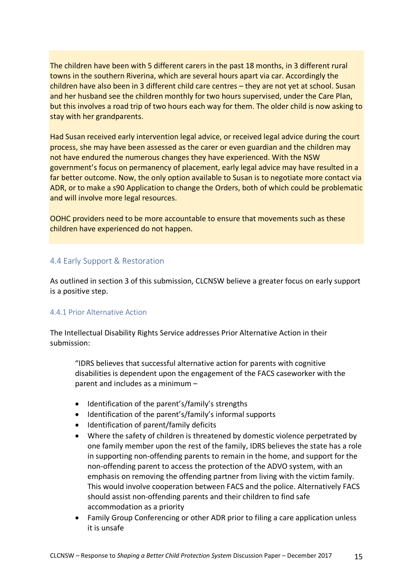The children have been with 5 different carers in the past 18 months, in 3 different rural towns in the southern Riverina, which are several hours apart via car. Accordingly the children have also been in 3 different child care centres – they are not yet at school. Susan and her husband see the children monthly for two hours supervised, under the Care Plan, but this involves a road trip of two hours each way for them. The older child is now asking to stay with her grandparents.

Had Susan received early intervention legal advice, or received legal advice during the court process, she may have been assessed as the carer or even guardian and the children may not have endured the numerous changes they have experienced. With the NSW government's focus on permanency of placement, early legal advice may have resulted in a far better outcome. Now, the only option available to Susan is to negotiate more contact via ADR, or to make a s90 Application to change the Orders, both of which could be problematic and will involve more legal resources.

OOHC providers need to be more accountable to ensure that movements such as these children have experienced do not happen.

## 4.4 Early Support & Restoration

As outlined in section 3 of this submission, CLCNSW believe a greater focus on early support is a positive step.

### 4.4.1 Prior Alternative Action

The Intellectual Disability Rights Service addresses Prior Alternative Action in their submission:

"IDRS believes that successful alternative action for parents with cognitive disabilities is dependent upon the engagement of the FACS caseworker with the parent and includes as a minimum –

- Identification of the parent's/family's strengths
- Identification of the parent's/family's informal supports
- Identification of parent/family deficits
- Where the safety of children is threatened by domestic violence perpetrated by one family member upon the rest of the family, IDRS believes the state has a role in supporting non-offending parents to remain in the home, and support for the non-offending parent to access the protection of the ADVO system, with an emphasis on removing the offending partner from living with the victim family. This would involve cooperation between FACS and the police. Alternatively FACS should assist non-offending parents and their children to find safe accommodation as a priority
- Family Group Conferencing or other ADR prior to filing a care application unless it is unsafe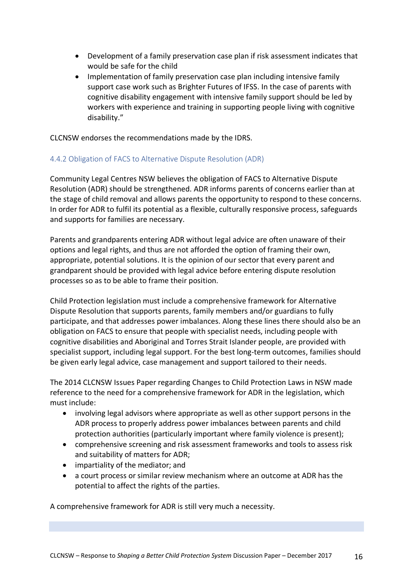- Development of a family preservation case plan if risk assessment indicates that would be safe for the child
- Implementation of family preservation case plan including intensive family support case work such as Brighter Futures of IFSS. In the case of parents with cognitive disability engagement with intensive family support should be led by workers with experience and training in supporting people living with cognitive disability."

CLCNSW endorses the recommendations made by the IDRS.

### 4.4.2 Obligation of FACS to Alternative Dispute Resolution (ADR)

Community Legal Centres NSW believes the obligation of FACS to Alternative Dispute Resolution (ADR) should be strengthened. ADR informs parents of concerns earlier than at the stage of child removal and allows parents the opportunity to respond to these concerns. In order for ADR to fulfil its potential as a flexible, culturally responsive process, safeguards and supports for families are necessary.

Parents and grandparents entering ADR without legal advice are often unaware of their options and legal rights, and thus are not afforded the option of framing their own, appropriate, potential solutions. It is the opinion of our sector that every parent and grandparent should be provided with legal advice before entering dispute resolution processes so as to be able to frame their position.

Child Protection legislation must include a comprehensive framework for Alternative Dispute Resolution that supports parents, family members and/or guardians to fully participate, and that addresses power imbalances. Along these lines there should also be an obligation on FACS to ensure that people with specialist needs, including people with cognitive disabilities and Aboriginal and Torres Strait Islander people, are provided with specialist support, including legal support. For the best long-term outcomes, families should be given early legal advice, case management and support tailored to their needs.

The 2014 CLCNSW Issues Paper regarding Changes to Child Protection Laws in NSW made reference to the need for a comprehensive framework for ADR in the legislation, which must include:

- involving legal advisors where appropriate as well as other support persons in the ADR process to properly address power imbalances between parents and child protection authorities (particularly important where family violence is present);
- comprehensive screening and risk assessment frameworks and tools to assess risk and suitability of matters for ADR;
- impartiality of the mediator; and
- a court process or similar review mechanism where an outcome at ADR has the potential to affect the rights of the parties.

A comprehensive framework for ADR is still very much a necessity.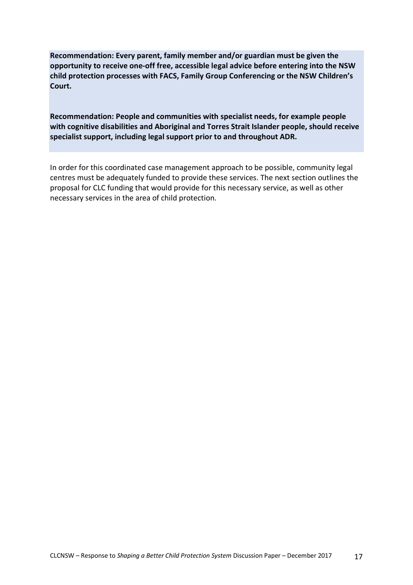**Recommendation: Every parent, family member and/or guardian must be given the opportunity to receive one-off free, accessible legal advice before entering into the NSW child protection processes with FACS, Family Group Conferencing or the NSW Children's Court.**

**Recommendation: People and communities with specialist needs, for example people with cognitive disabilities and Aboriginal and Torres Strait Islander people, should receive specialist support, including legal support prior to and throughout ADR.**

In order for this coordinated case management approach to be possible, community legal centres must be adequately funded to provide these services. The next section outlines the proposal for CLC funding that would provide for this necessary service, as well as other necessary services in the area of child protection.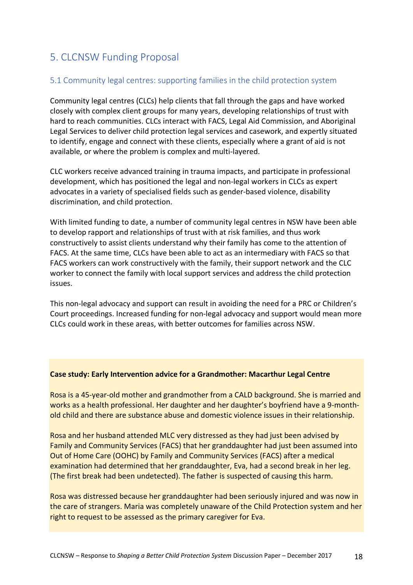## 5. CLCNSW Funding Proposal

## 5.1 Community legal centres: supporting families in the child protection system

Community legal centres (CLCs) help clients that fall through the gaps and have worked closely with complex client groups for many years, developing relationships of trust with hard to reach communities. CLCs interact with FACS, Legal Aid Commission, and Aboriginal Legal Services to deliver child protection legal services and casework, and expertly situated to identify, engage and connect with these clients, especially where a grant of aid is not available, or where the problem is complex and multi-layered.

CLC workers receive advanced training in trauma impacts, and participate in professional development, which has positioned the legal and non-legal workers in CLCs as expert advocates in a variety of specialised fields such as gender-based violence, disability discrimination, and child protection.

With limited funding to date, a number of community legal centres in NSW have been able to develop rapport and relationships of trust with at risk families, and thus work constructively to assist clients understand why their family has come to the attention of FACS. At the same time, CLCs have been able to act as an intermediary with FACS so that FACS workers can work constructively with the family, their support network and the CLC worker to connect the family with local support services and address the child protection issues.

This non-legal advocacy and support can result in avoiding the need for a PRC or Children's Court proceedings. Increased funding for non-legal advocacy and support would mean more CLCs could work in these areas, with better outcomes for families across NSW.

### **Case study: Early Intervention advice for a Grandmother: Macarthur Legal Centre**

Rosa is a 45-year-old mother and grandmother from a CALD background. She is married and works as a health professional. Her daughter and her daughter's boyfriend have a 9-monthold child and there are substance abuse and domestic violence issues in their relationship.

Rosa and her husband attended MLC very distressed as they had just been advised by Family and Community Services (FACS) that her granddaughter had just been assumed into Out of Home Care (OOHC) by Family and Community Services (FACS) after a medical examination had determined that her granddaughter, Eva, had a second break in her leg. (The first break had been undetected). The father is suspected of causing this harm.

Rosa was distressed because her granddaughter had been seriously injured and was now in the care of strangers. Maria was completely unaware of the Child Protection system and her right to request to be assessed as the primary caregiver for Eva.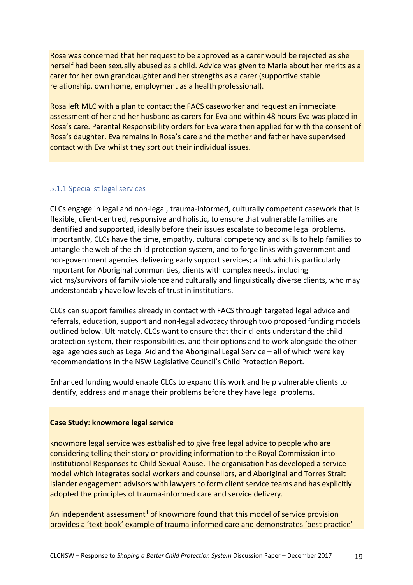Rosa was concerned that her request to be approved as a carer would be rejected as she herself had been sexually abused as a child. Advice was given to Maria about her merits as a carer for her own granddaughter and her strengths as a carer (supportive stable relationship, own home, employment as a health professional).

Rosa left MLC with a plan to contact the FACS caseworker and request an immediate assessment of her and her husband as carers for Eva and within 48 hours Eva was placed in Rosa's care. Parental Responsibility orders for Eva were then applied for with the consent of Rosa's daughter. Eva remains in Rosa's care and the mother and father have supervised contact with Eva whilst they sort out their individual issues.

#### 5.1.1 Specialist legal services

CLCs engage in legal and non-legal, trauma-informed, culturally competent casework that is flexible, client-centred, responsive and holistic, to ensure that vulnerable families are identified and supported, ideally before their issues escalate to become legal problems. Importantly, CLCs have the time, empathy, cultural competency and skills to help families to untangle the web of the child protection system, and to forge links with government and non-government agencies delivering early support services; a link which is particularly important for Aboriginal communities, clients with complex needs, including victims/survivors of family violence and culturally and linguistically diverse clients, who may understandably have low levels of trust in institutions.

CLCs can support families already in contact with FACS through targeted legal advice and referrals, education, support and non-legal advocacy through two proposed funding models outlined below. Ultimately, CLCs want to ensure that their clients understand the child protection system, their responsibilities, and their options and to work alongside the other legal agencies such as Legal Aid and the Aboriginal Legal Service – all of which were key recommendations in the NSW Legislative Council's Child Protection Report.

Enhanced funding would enable CLCs to expand this work and help vulnerable clients to identify, address and manage their problems before they have legal problems.

#### **Case Study: knowmore legal service**

knowmore legal service was estbalished to give free legal advice to people who are considering telling their story or providing information to the Royal Commission into Institutional Responses to Child Sexual Abuse. The organisation has developed a service model which integrates social workers and counsellors, and Aboriginal and Torres Strait Islander engagement advisors with lawyers to form client service teams and has explicitly adopted the principles of trauma-informed care and service delivery.

An independent assessment<sup>1</sup> of knowmore found that this model of service provision provides a 'text book' example of trauma-informed care and demonstrates 'best practice'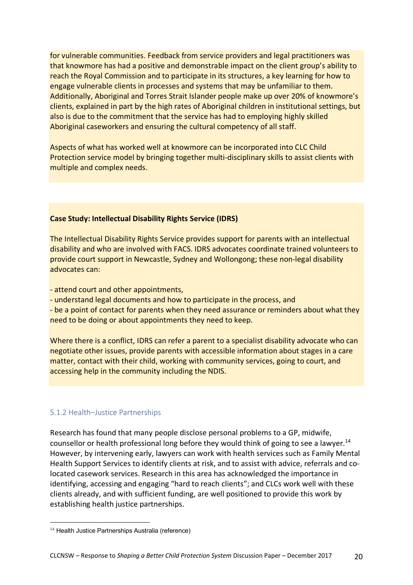for vulnerable communities. Feedback from service providers and legal practitioners was that knowmore has had a positive and demonstrable impact on the client group's ability to reach the Royal Commission and to participate in its structures, a key learning for how to engage vulnerable clients in processes and systems that may be unfamiliar to them. Additionally, Aboriginal and Torres Strait Islander people make up over 20% of knowmore's clients, explained in part by the high rates of Aboriginal children in institutional settings, but also is due to the commitment that the service has had to employing highly skilled Aboriginal caseworkers and ensuring the cultural competency of all staff.

Aspects of what has worked well at knowmore can be incorporated into CLC Child Protection service model by bringing together multi-disciplinary skills to assist clients with multiple and complex needs.

### **Case Study: Intellectual Disability Rights Service (IDRS)**

The Intellectual Disability Rights Service provides support for parents with an intellectual disability and who are involved with FACS. IDRS advocates coordinate trained volunteers to provide court support in Newcastle, Sydney and Wollongong; these non-legal disability advocates can:

- attend court and other appointments,

- understand legal documents and how to participate in the process, and

- be a point of contact for parents when they need assurance or reminders about what they need to be doing or about appointments they need to keep.

Where there is a conflict, IDRS can refer a parent to a specialist disability advocate who can negotiate other issues, provide parents with accessible information about stages in a care matter, contact with their child, working with community services, going to court, and accessing help in the community including the NDIS.

## 5.1.2 Health–Justice Partnerships

Research has found that many people disclose personal problems to a GP, midwife, counsellor or health professional long before they would think of going to see a lawyer.<sup>14</sup> However, by intervening early, lawyers can work with health services such as Family Mental Health Support Services to identify clients at risk, and to assist with advice, referrals and colocated casework services. Research in this area has acknowledged the importance in identifying, accessing and engaging "hard to reach clients"; and CLCs work well with these clients already, and with sufficient funding, are well positioned to provide this work by establishing health justice partnerships.

 $\overline{a}$ 

<sup>&</sup>lt;sup>14</sup> Health Justice Partnerships Australia (reference)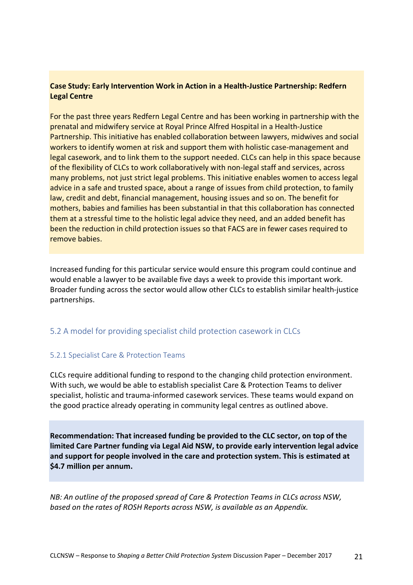## **Case Study: Early Intervention Work in Action in a Health-Justice Partnership: Redfern Legal Centre**

For the past three years Redfern Legal Centre and has been working in partnership with the prenatal and midwifery service at Royal Prince Alfred Hospital in a Health-Justice Partnership. This initiative has enabled collaboration between lawyers, midwives and social workers to identify women at risk and support them with holistic case-management and legal casework, and to link them to the support needed. CLCs can help in this space because of the flexibility of CLCs to work collaboratively with non-legal staff and services, across many problems, not just strict legal problems. This initiative enables women to access legal advice in a safe and trusted space, about a range of issues from child protection, to family law, credit and debt, financial management, housing issues and so on. The benefit for mothers, babies and families has been substantial in that this collaboration has connected them at a stressful time to the holistic legal advice they need, and an added benefit has been the reduction in child protection issues so that FACS are in fewer cases required to remove babies.

Increased funding for this particular service would ensure this program could continue and would enable a lawyer to be available five days a week to provide this important work. Broader funding across the sector would allow other CLCs to establish similar health-justice partnerships.

## 5.2 A model for providing specialist child protection casework in CLCs

### 5.2.1 Specialist Care & Protection Teams

CLCs require additional funding to respond to the changing child protection environment. With such, we would be able to establish specialist Care & Protection Teams to deliver specialist, holistic and trauma-informed casework services. These teams would expand on the good practice already operating in community legal centres as outlined above.

**Recommendation: That increased funding be provided to the CLC sector, on top of the limited Care Partner funding via Legal Aid NSW, to provide early intervention legal advice and support for people involved in the care and protection system. This is estimated at \$4.7 million per annum.**

*NB: An outline of the proposed spread of Care & Protection Teams in CLCs across NSW, based on the rates of ROSH Reports across NSW, is available as an Appendix.*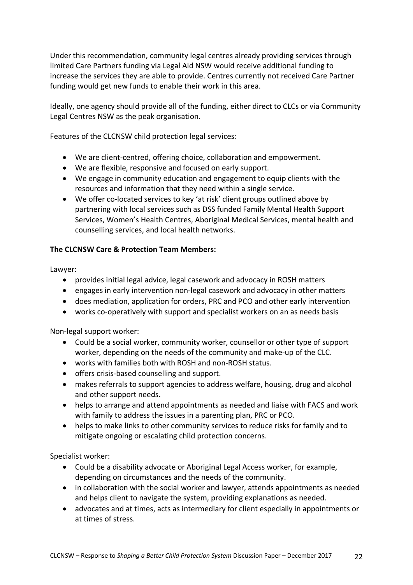Under this recommendation, community legal centres already providing services through limited Care Partners funding via Legal Aid NSW would receive additional funding to increase the services they are able to provide. Centres currently not received Care Partner funding would get new funds to enable their work in this area.

Ideally, one agency should provide all of the funding, either direct to CLCs or via Community Legal Centres NSW as the peak organisation.

Features of the CLCNSW child protection legal services:

- We are client-centred, offering choice, collaboration and empowerment.
- We are flexible, responsive and focused on early support.
- We engage in community education and engagement to equip clients with the resources and information that they need within a single service.
- We offer co-located services to key 'at risk' client groups outlined above by partnering with local services such as DSS funded Family Mental Health Support Services, Women's Health Centres, Aboriginal Medical Services, mental health and counselling services, and local health networks.

### **The CLCNSW Care & Protection Team Members:**

Lawyer:

- provides initial legal advice, legal casework and advocacy in ROSH matters
- engages in early intervention non-legal casework and advocacy in other matters
- does mediation, application for orders, PRC and PCO and other early intervention
- works co-operatively with support and specialist workers on an as needs basis

Non-legal support worker:

- Could be a social worker, community worker, counsellor or other type of support worker, depending on the needs of the community and make-up of the CLC.
- works with families both with ROSH and non-ROSH status.
- offers crisis-based counselling and support.
- makes referrals to support agencies to address welfare, housing, drug and alcohol and other support needs.
- helps to arrange and attend appointments as needed and liaise with FACS and work with family to address the issues in a parenting plan, PRC or PCO.
- helps to make links to other community services to reduce risks for family and to mitigate ongoing or escalating child protection concerns.

Specialist worker:

- Could be a disability advocate or Aboriginal Legal Access worker, for example, depending on circumstances and the needs of the community.
- in collaboration with the social worker and lawyer, attends appointments as needed and helps client to navigate the system, providing explanations as needed.
- advocates and at times, acts as intermediary for client especially in appointments or at times of stress.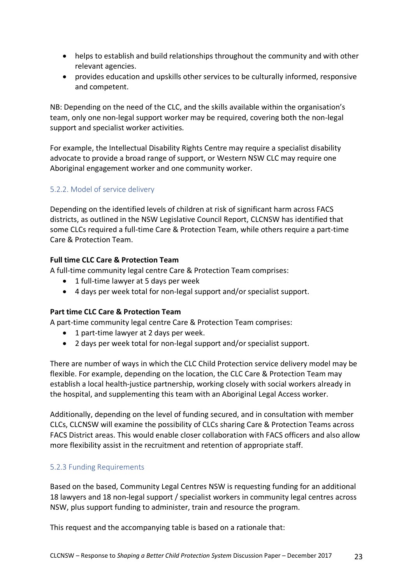- helps to establish and build relationships throughout the community and with other relevant agencies.
- provides education and upskills other services to be culturally informed, responsive and competent.

NB: Depending on the need of the CLC, and the skills available within the organisation's team, only one non-legal support worker may be required, covering both the non-legal support and specialist worker activities.

For example, the Intellectual Disability Rights Centre may require a specialist disability advocate to provide a broad range of support, or Western NSW CLC may require one Aboriginal engagement worker and one community worker.

## 5.2.2. Model of service delivery

Depending on the identified levels of children at risk of significant harm across FACS districts, as outlined in the NSW Legislative Council Report, CLCNSW has identified that some CLCs required a full-time Care & Protection Team, while others require a part-time Care & Protection Team.

## **Full time CLC Care & Protection Team**

A full-time community legal centre Care & Protection Team comprises:

- 1 full-time lawyer at 5 days per week
- 4 days per week total for non-legal support and/or specialist support.

### **Part time CLC Care & Protection Team**

A part-time community legal centre Care & Protection Team comprises:

- 1 part-time lawyer at 2 days per week.
- 2 days per week total for non-legal support and/or specialist support.

There are number of ways in which the CLC Child Protection service delivery model may be flexible. For example, depending on the location, the CLC Care & Protection Team may establish a local health-justice partnership, working closely with social workers already in the hospital, and supplementing this team with an Aboriginal Legal Access worker.

Additionally, depending on the level of funding secured, and in consultation with member CLCs, CLCNSW will examine the possibility of CLCs sharing Care & Protection Teams across FACS District areas. This would enable closer collaboration with FACS officers and also allow more flexibility assist in the recruitment and retention of appropriate staff.

## 5.2.3 Funding Requirements

Based on the based, Community Legal Centres NSW is requesting funding for an additional 18 lawyers and 18 non-legal support / specialist workers in community legal centres across NSW, plus support funding to administer, train and resource the program.

This request and the accompanying table is based on a rationale that: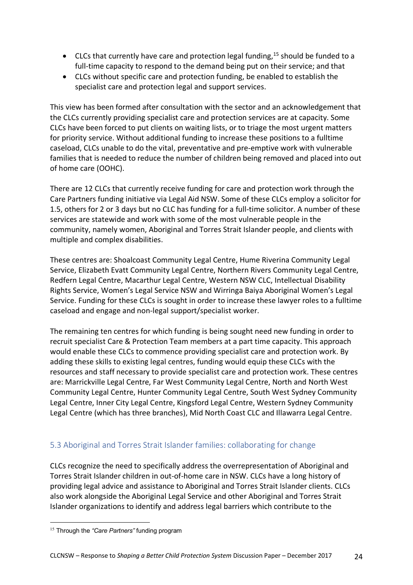- CLCs that currently have care and protection legal funding,<sup>15</sup> should be funded to a full-time capacity to respond to the demand being put on their service; and that
- CLCs without specific care and protection funding, be enabled to establish the specialist care and protection legal and support services.

This view has been formed after consultation with the sector and an acknowledgement that the CLCs currently providing specialist care and protection services are at capacity. Some CLCs have been forced to put clients on waiting lists, or to triage the most urgent matters for priority service. Without additional funding to increase these positions to a fulltime caseload, CLCs unable to do the vital, preventative and pre-emptive work with vulnerable families that is needed to reduce the number of children being removed and placed into out of home care (OOHC).

There are 12 CLCs that currently receive funding for care and protection work through the Care Partners funding initiative via Legal Aid NSW. Some of these CLCs employ a solicitor for 1.5, others for 2 or 3 days but no CLC has funding for a full-time solicitor. A number of these services are statewide and work with some of the most vulnerable people in the community, namely women, Aboriginal and Torres Strait Islander people, and clients with multiple and complex disabilities.

These centres are: Shoalcoast Community Legal Centre, Hume Riverina Community Legal Service, Elizabeth Evatt Community Legal Centre, Northern Rivers Community Legal Centre, Redfern Legal Centre, Macarthur Legal Centre, Western NSW CLC, Intellectual Disability Rights Service, Women's Legal Service NSW and Wirringa Baiya Aboriginal Women's Legal Service. Funding for these CLCs is sought in order to increase these lawyer roles to a fulltime caseload and engage and non-legal support/specialist worker.

The remaining ten centres for which funding is being sought need new funding in order to recruit specialist Care & Protection Team members at a part time capacity. This approach would enable these CLCs to commence providing specialist care and protection work. By adding these skills to existing legal centres, funding would equip these CLCs with the resources and staff necessary to provide specialist care and protection work. These centres are: Marrickville Legal Centre, Far West Community Legal Centre, North and North West Community Legal Centre, Hunter Community Legal Centre, South West Sydney Community Legal Centre, Inner City Legal Centre, Kingsford Legal Centre, Western Sydney Community Legal Centre (which has three branches), Mid North Coast CLC and Illawarra Legal Centre.

## 5.3 Aboriginal and Torres Strait Islander families: collaborating for change

CLCs recognize the need to specifically address the overrepresentation of Aboriginal and Torres Strait Islander children in out-of-home care in NSW. CLCs have a long history of providing legal advice and assistance to Aboriginal and Torres Strait Islander clients. CLCs also work alongside the Aboriginal Legal Service and other Aboriginal and Torres Strait Islander organizations to identify and address legal barriers which contribute to the

 $\overline{a}$ 

<sup>15</sup> Through the *"Care Partners"* funding program